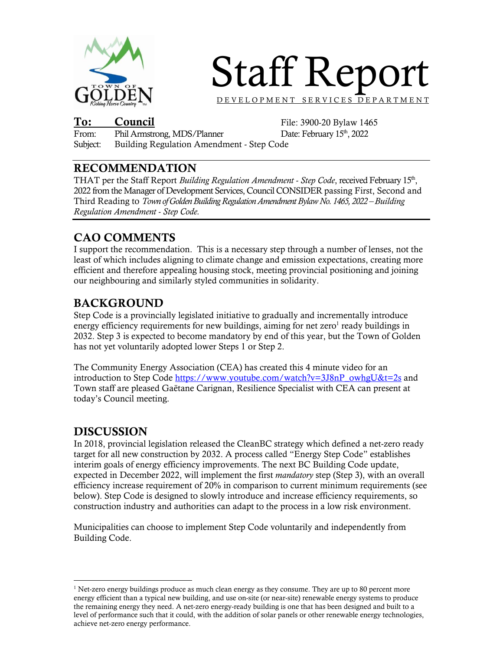

# Staff Report

D E V E L O P M E N T S E R V I C E S D E P A R T M E N T

To: Council File: 3900-20 Bylaw 1465<br>From: Phil Armstrong, MDS/Planner Date: February 15<sup>th</sup>, 2022 Phil Armstrong, MDS/Planner Subject: Building Regulation Amendment - Step Code

### RECOMMENDATION

THAT per the Staff Report *Building Regulation Amendment - Step Code*, received February 15th, 2022 from the Manager of Development Services, Council CONSIDER passing First, Second and Third Reading to *Town of Golden Building Regulation Amendment Bylaw No. 1465, 2022 – Building Regulation Amendment - Step Code.* 

## CAO COMMENTS

I support the recommendation. This is a necessary step through a number of lenses, not the least of which includes aligning to climate change and emission expectations, creating more efficient and therefore appealing housing stock, meeting provincial positioning and joining our neighbouring and similarly styled communities in solidarity.

## BACKGROUND

Step Code is a provincially legislated initiative to gradually and incrementally introduce energy efficiency requirements for new buildings, aiming for net zero<sup>1</sup> ready buildings in 2032. Step 3 is expected to become mandatory by end of this year, but the Town of Golden has not yet voluntarily adopted lower Steps 1 or Step 2.

The Community Energy Association (CEA) has created this 4 minute video for an introduction to Step Code https://www.youtube.com/watch?v=3J8nP\_owhgU&t=2s and Town staff are pleased Gaëtane Carignan, Resilience Specialist with CEA can present at today's Council meeting.

## DISCUSSION

In 2018, provincial legislation released the CleanBC strategy which defined a net-zero ready target for all new construction by 2032. A process called "Energy Step Code" establishes interim goals of energy efficiency improvements. The next BC Building Code update, expected in December 2022, will implement the first *mandatory* step (Step 3), with an overall efficiency increase requirement of 20% in comparison to current minimum requirements (see below). Step Code is designed to slowly introduce and increase efficiency requirements, so construction industry and authorities can adapt to the process in a low risk environment.

Municipalities can choose to implement Step Code voluntarily and independently from Building Code.

 $\overline{a}$ <sup>1</sup> Net-zero energy buildings produce as much clean energy as they consume. They are up to 80 percent more energy efficient than a typical new building, and use on-site (or near-site) renewable energy systems to produce the remaining energy they need. A net-zero energy-ready building is one that has been designed and built to a level of performance such that it could, with the addition of solar panels or other renewable energy technologies, achieve net-zero energy performance.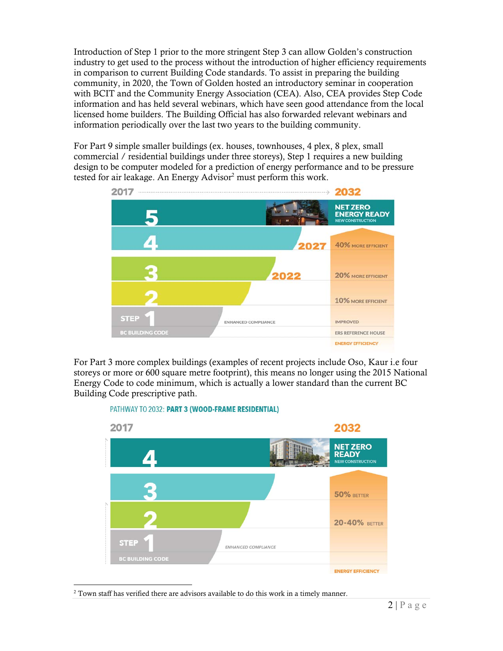Introduction of Step 1 prior to the more stringent Step 3 can allow Golden's construction industry to get used to the process without the introduction of higher efficiency requirements in comparison to current Building Code standards. To assist in preparing the building community, in 2020, the Town of Golden hosted an introductory seminar in cooperation with BCIT and the Community Energy Association (CEA). Also, CEA provides Step Code information and has held several webinars, which have seen good attendance from the local licensed home builders. The Building Official has also forwarded relevant webinars and information periodically over the last two years to the building community.

For Part 9 simple smaller buildings (ex. houses, townhouses, 4 plex, 8 plex, small commercial / residential buildings under three storeys), Step 1 requires a new building design to be computer modeled for a prediction of energy performance and to be pressure tested for air leakage. An Energy Advisor<sup>2</sup> must perform this work.



For Part 3 more complex buildings (examples of recent projects include Oso, Kaur i.e four storeys or more or 600 square metre footprint), this means no longer using the 2015 National Energy Code to code minimum, which is actually a lower standard than the current BC Building Code prescriptive path.

#### PATHWAY TO 2032: PART 3 (WOOD-FRAME RESIDENTIAL)



 $\overline{a}$  $2$  Town staff has verified there are advisors available to do this work in a timely manner.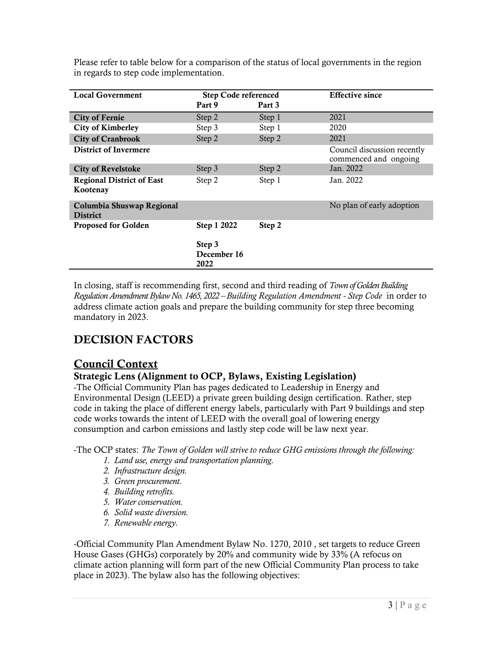Please refer to table below for a comparison of the status of local governments in the region in regards to step code implementation.

| <b>Local Government</b>                      | <b>Step Code referenced</b>   |        | <b>Effective since</b>                               |
|----------------------------------------------|-------------------------------|--------|------------------------------------------------------|
|                                              | Part 9                        | Part 3 |                                                      |
| <b>City of Fernie</b>                        | Step 2                        | Step 1 | 2021                                                 |
| <b>City of Kimberley</b>                     | Step 3                        | Step 1 | 2020                                                 |
| <b>City of Cranbrook</b>                     | Step 2                        | Step 2 | 2021                                                 |
| <b>District of Invermere</b>                 |                               |        | Council discussion recently<br>commenced and ongoing |
| <b>City of Revelstoke</b>                    | Step 3                        | Step 2 | Jan. 2022                                            |
| <b>Regional District of East</b><br>Kootenay | Step 2                        | Step 1 | Jan. 2022                                            |
| Columbia Shuswap Regional<br><b>District</b> |                               |        | No plan of early adoption                            |
| <b>Proposed for Golden</b>                   | Step 1 2022                   | Step 2 |                                                      |
|                                              | Step 3<br>December 16<br>2022 |        |                                                      |

In closing, staff is recommending first, second and third reading of *Town of Golden Building Regulation Amendment Bylaw No. 1465, 2022 – Building Regulation Amendment - Step Code* in order to address climate action goals and prepare the building community for step three becoming mandatory in 2023.

## DECISION FACTORS

## Council Context

#### Strategic Lens (Alignment to OCP, Bylaws, Existing Legislation)

-The Official Community Plan has pages dedicated to Leadership in Energy and Environmental Design (LEED) a private green building design certification. Rather, step code in taking the place of different energy labels, particularly with Part 9 buildings and step code works towards the intent of LEED with the overall goal of lowering energy consumption and carbon emissions and lastly step code will be law next year.

-The OCP states: *The Town of Golden will strive to reduce GHG emissions through the following:* 

- *1. Land use, energy and transportation planning.*
- *2. Infrastructure design.*
- *3. Green procurement.*
- *4. Building retrofits.*
- *5. Water conservation.*
- *6. Solid waste diversion.*
- *7. Renewable energy.*

-Official Community Plan Amendment Bylaw No. 1270, 2010 , set targets to reduce Green House Gases (GHGs) corporately by 20% and community wide by 33% (A refocus on climate action planning will form part of the new Official Community Plan process to take place in 2023). The bylaw also has the following objectives: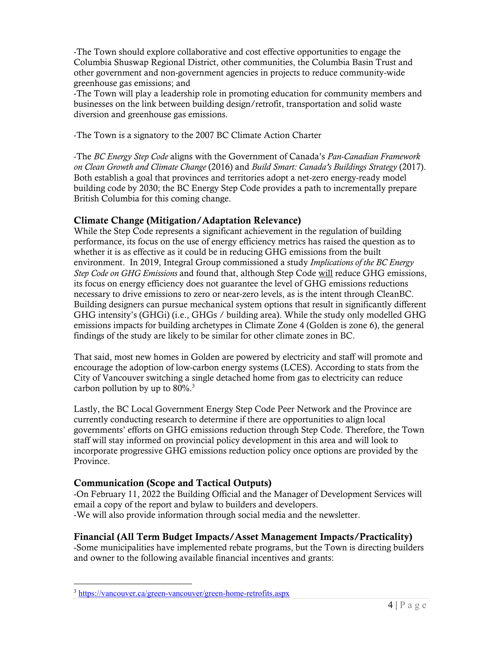-The Town should explore collaborative and cost effective opportunities to engage the Columbia Shuswap Regional District, other communities, the Columbia Basin Trust and other government and non-government agencies in projects to reduce community-wide greenhouse gas emissions; and

-The Town will play a leadership role in promoting education for community members and businesses on the link between building design/retrofit, transportation and solid waste diversion and greenhouse gas emissions.

-The Town is a signatory to the 2007 BC Climate Action Charter

-The *BC Energy Step Code* aligns with the Government of Canada's *Pan-Canadian Framework on Clean Growth and Climate Change* (2016) and *Build Smart: Canada's Buildings Strategy* (2017). Both establish a goal that provinces and territories adopt a net-zero energy-ready model building code by 2030; the BC Energy Step Code provides a path to incrementally prepare British Columbia for this coming change.

#### Climate Change (Mitigation/Adaptation Relevance)

While the Step Code represents a significant achievement in the regulation of building performance, its focus on the use of energy efficiency metrics has raised the question as to whether it is as effective as it could be in reducing GHG emissions from the built environment. In 2019, Integral Group commissioned a study *Implications of the BC Energy Step Code on GHG Emissions* and found that, although Step Code will reduce GHG emissions, its focus on energy efficiency does not guarantee the level of GHG emissions reductions necessary to drive emissions to zero or near-zero levels, as is the intent through CleanBC. Building designers can pursue mechanical system options that result in significantly different GHG intensity's (GHGi) (i.e., GHGs / building area). While the study only modelled GHG emissions impacts for building archetypes in Climate Zone 4 (Golden is zone 6), the general findings of the study are likely to be similar for other climate zones in BC.

That said, most new homes in Golden are powered by electricity and staff will promote and encourage the adoption of low-carbon energy systems (LCES). According to stats from the City of Vancouver switching a single detached home from gas to electricity can reduce carbon pollution by up to  $80\%$ <sup>3</sup>

Lastly, the BC Local Government Energy Step Code Peer Network and the Province are currently conducting research to determine if there are opportunities to align local governments' efforts on GHG emissions reduction through Step Code. Therefore, the Town staff will stay informed on provincial policy development in this area and will look to incorporate progressive GHG emissions reduction policy once options are provided by the Province.

#### Communication (Scope and Tactical Outputs)

-On February 11, 2022 the Building Official and the Manager of Development Services will email a copy of the report and bylaw to builders and developers. -We will also provide information through social media and the newsletter.

#### Financial (All Term Budget Impacts/Asset Management Impacts/Practicality)

-Some municipalities have implemented rebate programs, but the Town is directing builders and owner to the following available financial incentives and grants:

 $\overline{a}$ 

<sup>&</sup>lt;sup>3</sup> https://vancouver.ca/green-vancouver/green-home-retrofits.aspx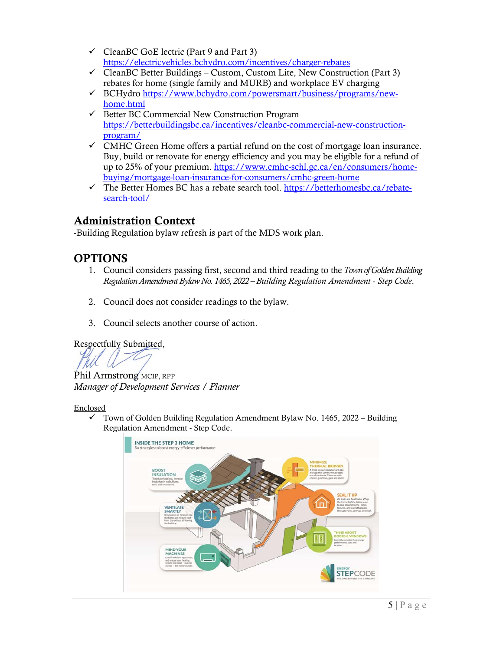- CleanBC GoE lectric (Part 9 and Part 3) https://electricvehicles.bchydro.com/incentives/charger-rebates
- $\checkmark$  CleanBC Better Buildings Custom, Custom Lite, New Construction (Part 3) rebates for home (single family and MURB) and workplace EV charging
- BCHydro https://www.bchydro.com/powersmart/business/programs/newhome.html
- $\checkmark$  Better BC Commercial New Construction Program https://betterbuildingsbc.ca/incentives/cleanbc-commercial-new-constructionprogram/
- $\checkmark$  CMHC Green Home offers a partial refund on the cost of mortgage loan insurance. Buy, build or renovate for energy efficiency and you may be eligible for a refund of up to 25% of your premium. https://www.cmhc-schl.gc.ca/en/consumers/homebuying/mortgage-loan-insurance-for-consumers/cmhc-green-home
- The Better Homes BC has a rebate search tool. https://betterhomesbc.ca/rebatesearch-tool/

## Administration Context

-Building Regulation bylaw refresh is part of the MDS work plan.

## **OPTIONS**

- 1. Council considers passing first, second and third reading to the *Town of Golden Building Regulation Amendment Bylaw No. 1465, 2022 – Building Regulation Amendment - Step Code*.
- 2. Council does not consider readings to the bylaw.
- 3. Council selects another course of action.

Respectfully Submitted,

Phil Armstrong MCIP, RPP *Manager of Development Services / Planner*

Enclosed

 $\checkmark$  Town of Golden Building Regulation Amendment Bylaw No. 1465, 2022 – Building Regulation Amendment - Step Code.

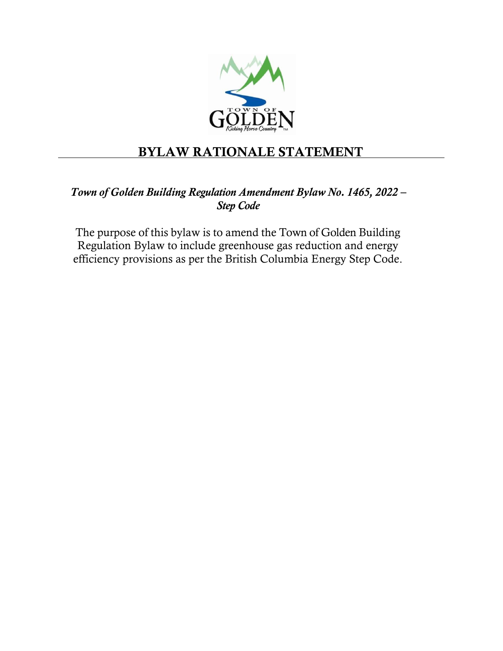

## BYLAW RATIONALE STATEMENT

## *Town of Golden Building Regulation Amendment Bylaw No. 1465, 2022 – Step Code*

The purpose of this bylaw is to amend the Town of Golden Building Regulation Bylaw to include greenhouse gas reduction and energy efficiency provisions as per the British Columbia Energy Step Code.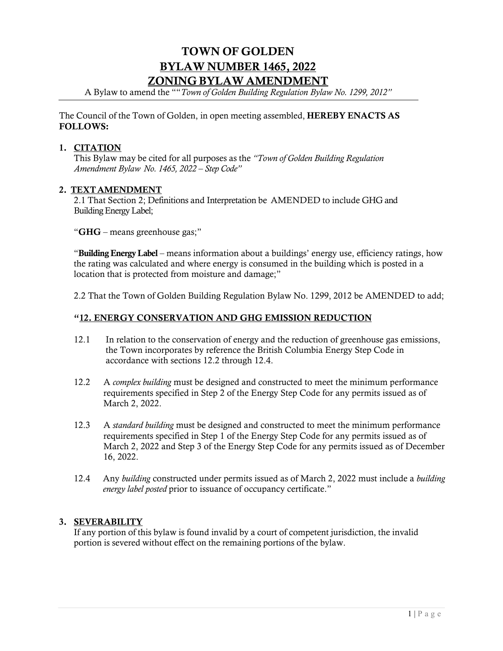## TOWN OF GOLDEN BYLAW NUMBER 1465, 2022 ZONING BYLAW AMENDMENT

A Bylaw to amend the ""*Town of Golden Building Regulation Bylaw No. 1299, 2012"*

The Council of the Town of Golden, in open meeting assembled, HEREBY ENACTS AS FOLLOWS:

#### 1. CITATION

This Bylaw may be cited for all purposes as the *"Town of Golden Building Regulation Amendment Bylaw No. 1465, 2022 – Step Code"*

#### 2. TEXT AMENDMENT

2.1 That Section 2; Definitions and Interpretation be AMENDED to include GHG and Building Energy Label;

"GHG – means greenhouse gas;"

"Building Energy Label – means information about a buildings' energy use, efficiency ratings, how the rating was calculated and where energy is consumed in the building which is posted in a location that is protected from moisture and damage;"

2.2 That the Town of Golden Building Regulation Bylaw No. 1299, 2012 be AMENDED to add;

#### "12. ENERGY CONSERVATION AND GHG EMISSION REDUCTION

- 12.1 In relation to the conservation of energy and the reduction of greenhouse gas emissions, the Town incorporates by reference the British Columbia Energy Step Code in accordance with sections 12.2 through 12.4.
- 12.2 A *complex building* must be designed and constructed to meet the minimum performance requirements specified in Step 2 of the Energy Step Code for any permits issued as of March 2, 2022.
- 12.3 A *standard building* must be designed and constructed to meet the minimum performance requirements specified in Step 1 of the Energy Step Code for any permits issued as of March 2, 2022 and Step 3 of the Energy Step Code for any permits issued as of December 16, 2022.
- 12.4 Any *building* constructed under permits issued as of March 2, 2022 must include a *building energy label posted* prior to issuance of occupancy certificate."

#### 3. SEVERABILITY

If any portion of this bylaw is found invalid by a court of competent jurisdiction, the invalid portion is severed without effect on the remaining portions of the bylaw.